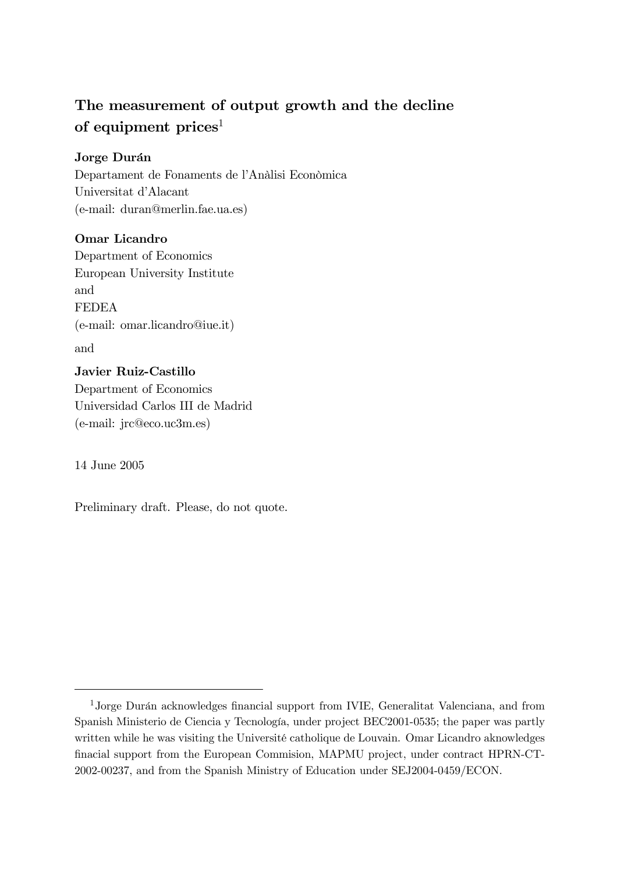# The measurement of output growth and the decline of equipment  $\boldsymbol{prices}^1$

### Jorge Durán

Departament de Fonaments de l'Anàlisi Econòmica Universitat d'Alacant (e-mail: duran@merlin.fae.ua.es)

### Omar Licandro

Department of Economics European University Institute and FEDEA (e-mail: omar.licandro@iue.it) and

### Javier Ruiz-Castillo

Department of Economics Universidad Carlos III de Madrid (e-mail: jrc@eco.uc3m.es)

14 June 2005

Preliminary draft. Please, do not quote.

<sup>1</sup>Jorge Durán acknowledges financial support from IVIE, Generalitat Valenciana, and from Spanish Ministerio de Ciencia y Tecnología, under project BEC2001-0535; the paper was partly written while he was visiting the Université catholique de Louvain. Omar Licandro aknowledges finacial support from the European Commision, MAPMU project, under contract HPRN-CT-2002-00237, and from the Spanish Ministry of Education under SEJ2004-0459/ECON.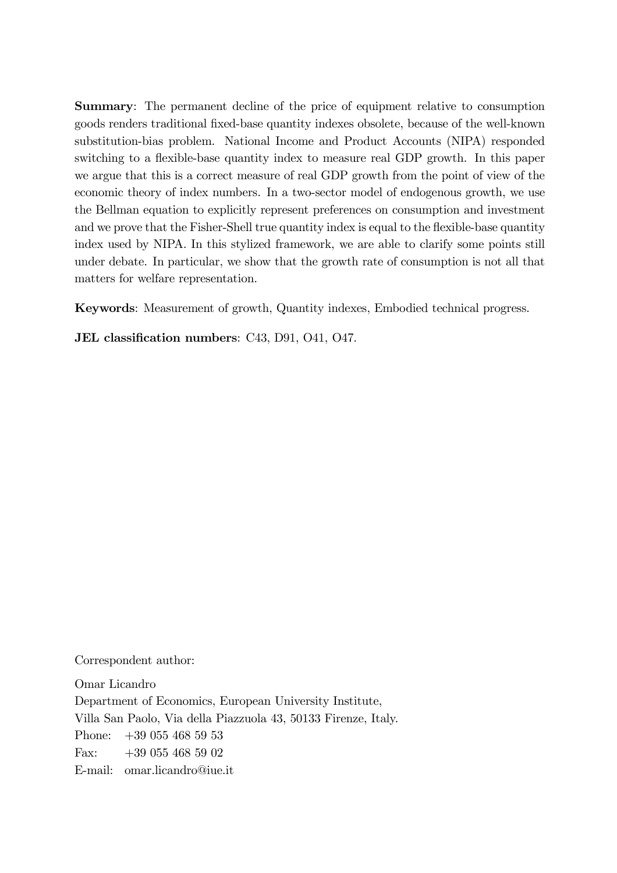Summary: The permanent decline of the price of equipment relative to consumption goods renders traditional fixed-base quantity indexes obsolete, because of the well-known substitution-bias problem. National Income and Product Accounts (NIPA) responded switching to a flexible-base quantity index to measure real GDP growth. In this paper we argue that this is a correct measure of real GDP growth from the point of view of the economic theory of index numbers. In a two-sector model of endogenous growth, we use the Bellman equation to explicitly represent preferences on consumption and investment and we prove that the Fisher-Shell true quantity index is equal to the flexible-base quantity index used by NIPA. In this stylized framework, we are able to clarify some points still under debate. In particular, we show that the growth rate of consumption is not all that matters for welfare representation.

Keywords: Measurement of growth, Quantity indexes, Embodied technical progress.

JEL classification numbers: C43, D91, O41, O47.

Correspondent author:

Omar Licandro Department of Economics, European University Institute, Villa San Paolo, Via della Piazzuola 43, 50133 Firenze, Italy. Phone: +39 055 468 59 53 Fax: +39 055 468 59 02 E-mail: omar.licandro@iue.it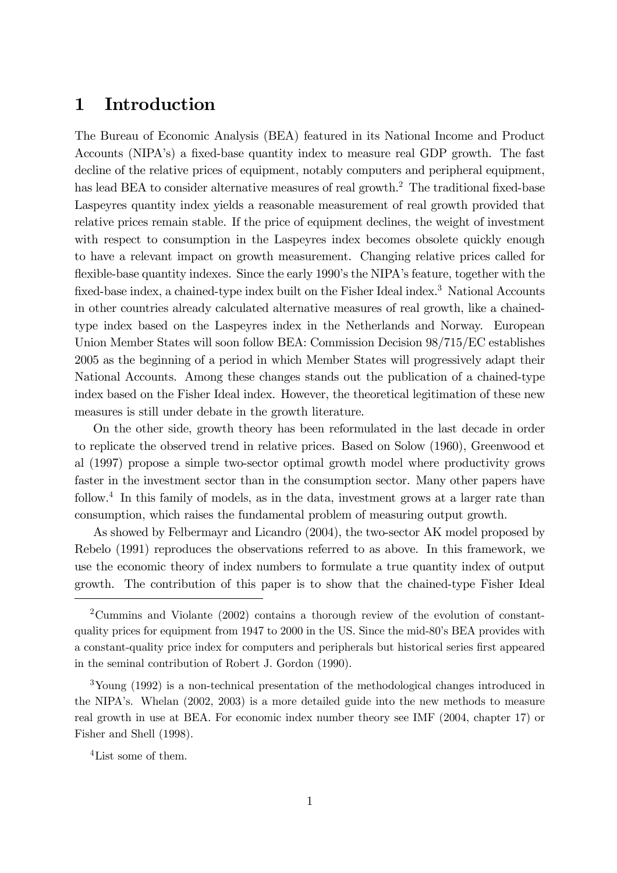# 1 Introduction

The Bureau of Economic Analysis (BEA) featured in its National Income and Product Accounts (NIPA's) a fixed-base quantity index to measure real GDP growth. The fast decline of the relative prices of equipment, notably computers and peripheral equipment, has lead BEA to consider alternative measures of real growth.<sup>2</sup> The traditional fixed-base Laspeyres quantity index yields a reasonable measurement of real growth provided that relative prices remain stable. If the price of equipment declines, the weight of investment with respect to consumption in the Laspeyres index becomes obsolete quickly enough to have a relevant impact on growth measurement. Changing relative prices called for flexible-base quantity indexes. Since the early 1990's the NIPA's feature, together with the fixed-base index, a chained-type index built on the Fisher Ideal index.<sup>3</sup> National Accounts in other countries already calculated alternative measures of real growth, like a chainedtype index based on the Laspeyres index in the Netherlands and Norway. European Union Member States will soon follow BEA: Commission Decision 98/715/EC establishes 2005 as the beginning of a period in which Member States will progressively adapt their National Accounts. Among these changes stands out the publication of a chained-type index based on the Fisher Ideal index. However, the theoretical legitimation of these new measures is still under debate in the growth literature.

On the other side, growth theory has been reformulated in the last decade in order to replicate the observed trend in relative prices. Based on Solow (1960), Greenwood et al (1997) propose a simple two-sector optimal growth model where productivity grows faster in the investment sector than in the consumption sector. Many other papers have follow.<sup>4</sup> In this family of models, as in the data, investment grows at a larger rate than consumption, which raises the fundamental problem of measuring output growth.

As showed by Felbermayr and Licandro (2004), the two-sector AK model proposed by Rebelo (1991) reproduces the observations referred to as above. In this framework, we use the economic theory of index numbers to formulate a true quantity index of output growth. The contribution of this paper is to show that the chained-type Fisher Ideal

2Cummins and Violante (2002) contains a thorough review of the evolution of constantquality prices for equipment from 1947 to 2000 in the US. Since the mid-80's BEA provides with a constant-quality price index for computers and peripherals but historical series first appeared in the seminal contribution of Robert J. Gordon (1990).

3Young (1992) is a non-technical presentation of the methodological changes introduced in the NIPA's. Whelan (2002, 2003) is a more detailed guide into the new methods to measure real growth in use at BEA. For economic index number theory see IMF (2004, chapter 17) or Fisher and Shell (1998).

4List some of them.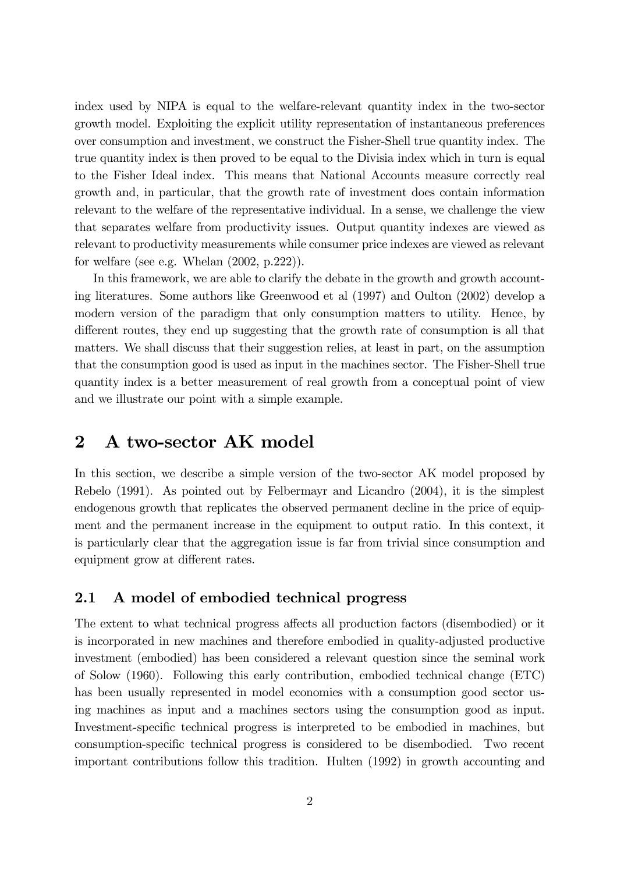index used by NIPA is equal to the welfare-relevant quantity index in the two-sector growth model. Exploiting the explicit utility representation of instantaneous preferences over consumption and investment, we construct the Fisher-Shell true quantity index. The true quantity index is then proved to be equal to the Divisia index which in turn is equal to the Fisher Ideal index. This means that National Accounts measure correctly real growth and, in particular, that the growth rate of investment does contain information relevant to the welfare of the representative individual. In a sense, we challenge the view that separates welfare from productivity issues. Output quantity indexes are viewed as relevant to productivity measurements while consumer price indexes are viewed as relevant for welfare (see e.g. Whelan (2002, p.222)).

In this framework, we are able to clarify the debate in the growth and growth accounting literatures. Some authors like Greenwood et al (1997) and Oulton (2002) develop a modern version of the paradigm that only consumption matters to utility. Hence, by different routes, they end up suggesting that the growth rate of consumption is all that matters. We shall discuss that their suggestion relies, at least in part, on the assumption that the consumption good is used as input in the machines sector. The Fisher-Shell true quantity index is a better measurement of real growth from a conceptual point of view and we illustrate our point with a simple example.

### 2 A two-sector AK model

In this section, we describe a simple version of the two-sector AK model proposed by Rebelo (1991). As pointed out by Felbermayr and Licandro (2004), it is the simplest endogenous growth that replicates the observed permanent decline in the price of equipment and the permanent increase in the equipment to output ratio. In this context, it is particularly clear that the aggregation issue is far from trivial since consumption and equipment grow at different rates.

### 2.1 A model of embodied technical progress

The extent to what technical progress affects all production factors (disembodied) or it is incorporated in new machines and therefore embodied in quality-adjusted productive investment (embodied) has been considered a relevant question since the seminal work of Solow (1960). Following this early contribution, embodied technical change (ETC) has been usually represented in model economies with a consumption good sector using machines as input and a machines sectors using the consumption good as input. Investment-specific technical progress is interpreted to be embodied in machines, but consumption-specific technical progress is considered to be disembodied. Two recent important contributions follow this tradition. Hulten (1992) in growth accounting and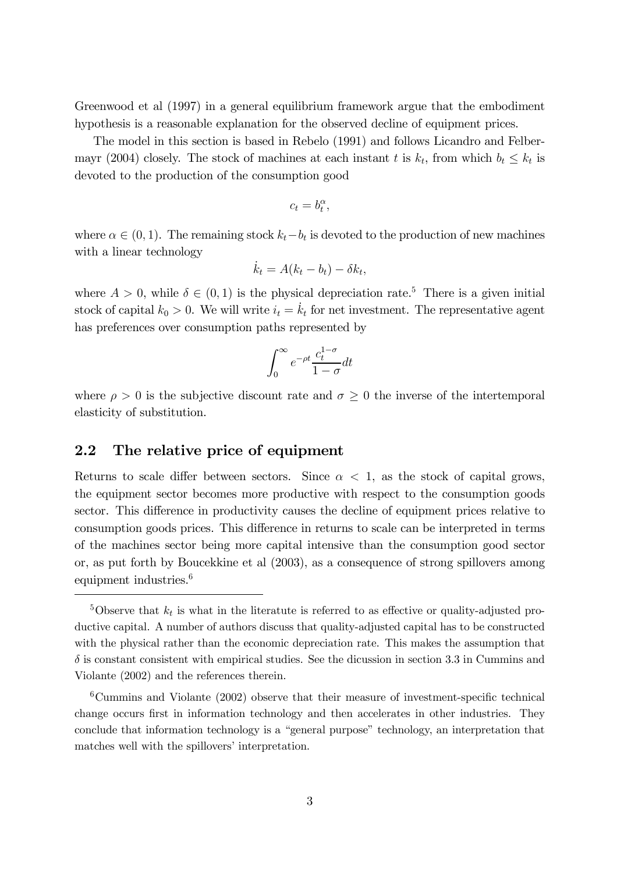Greenwood et al (1997) in a general equilibrium framework argue that the embodiment hypothesis is a reasonable explanation for the observed decline of equipment prices.

The model in this section is based in Rebelo (1991) and follows Licandro and Felbermayr (2004) closely. The stock of machines at each instant t is  $k_t$ , from which  $b_t \leq k_t$  is devoted to the production of the consumption good

$$
c_t = b_t^{\alpha},
$$

where  $\alpha \in (0, 1)$ . The remaining stock  $k_t - b_t$  is devoted to the production of new machines with a linear technology

$$
\dot{k}_t = A(k_t - b_t) - \delta k_t,
$$

where  $A > 0$ , while  $\delta \in (0, 1)$  is the physical depreciation rate.<sup>5</sup> There is a given initial stock of capital  $k_0 > 0$ . We will write  $i_t = \dot{k}_t$  for net investment. The representative agent has preferences over consumption paths represented by

$$
\int_0^\infty e^{-\rho t} \frac{c_t^{1-\sigma}}{1-\sigma} dt
$$

where  $\rho > 0$  is the subjective discount rate and  $\sigma \geq 0$  the inverse of the intertemporal elasticity of substitution.

### 2.2 The relative price of equipment

Returns to scale differ between sectors. Since  $\alpha < 1$ , as the stock of capital grows, the equipment sector becomes more productive with respect to the consumption goods sector. This difference in productivity causes the decline of equipment prices relative to consumption goods prices. This difference in returns to scale can be interpreted in terms of the machines sector being more capital intensive than the consumption good sector or, as put forth by Boucekkine et al (2003), as a consequence of strong spillovers among equipment industries.<sup>6</sup>

<sup>&</sup>lt;sup>5</sup>Observe that  $k_t$  is what in the literatute is referred to as effective or quality-adjusted productive capital. A number of authors discuss that quality-adjusted capital has to be constructed with the physical rather than the economic depreciation rate. This makes the assumption that  $\delta$  is constant consistent with empirical studies. See the dicussion in section 3.3 in Cummins and Violante (2002) and the references therein.

 $6$ Cummins and Violante (2002) observe that their measure of investment-specific technical change occurs first in information technology and then accelerates in other industries. They conclude that information technology is a "general purpose" technology, an interpretation that matches well with the spillovers' interpretation.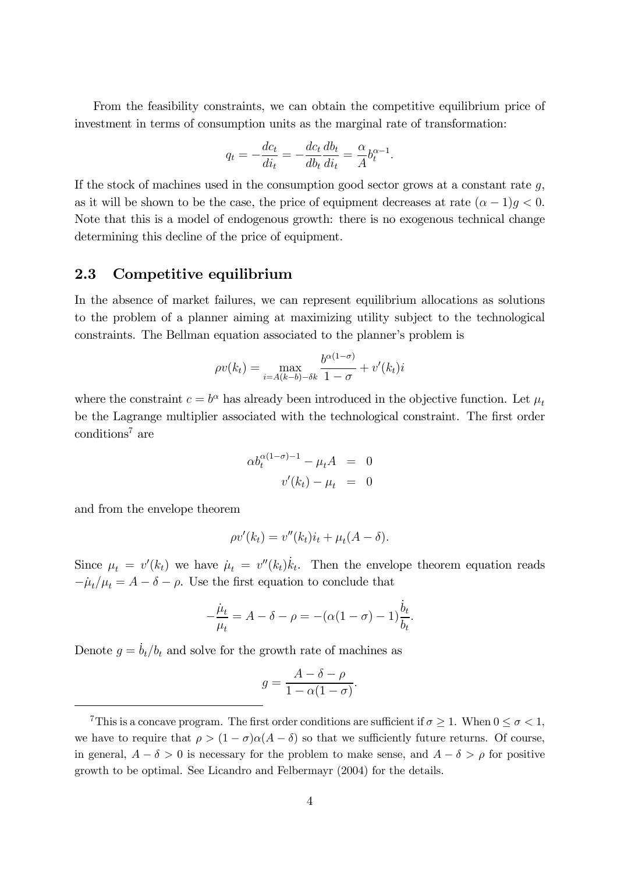From the feasibility constraints, we can obtain the competitive equilibrium price of investment in terms of consumption units as the marginal rate of transformation:

$$
q_t = -\frac{dc_t}{di_t} = -\frac{dc_t}{db_t}\frac{db_t}{di_t} = \frac{\alpha}{A}b_t^{\alpha-1}.
$$

If the stock of machines used in the consumption good sector grows at a constant rate  $g$ , as it will be shown to be the case, the price of equipment decreases at rate  $(\alpha - 1)g < 0$ . Note that this is a model of endogenous growth: there is no exogenous technical change determining this decline of the price of equipment.

#### 2.3 Competitive equilibrium

In the absence of market failures, we can represent equilibrium allocations as solutions to the problem of a planner aiming at maximizing utility subject to the technological constraints. The Bellman equation associated to the planner's problem is

$$
\rho v(k_t) = \max_{i = A(k-b) - \delta k} \frac{b^{\alpha(1-\sigma)}}{1-\sigma} + v'(k_t)i
$$

where the constraint  $c = b^{\alpha}$  has already been introduced in the objective function. Let  $\mu_t$ be the Lagrange multiplier associated with the technological constraint. The first order conditions7 are

$$
\alpha b_t^{\alpha(1-\sigma)-1} - \mu_t A = 0
$$
  

$$
v'(k_t) - \mu_t = 0
$$

and from the envelope theorem

$$
\rho v'(k_t) = v''(k_t)i_t + \mu_t(A - \delta).
$$

Since  $\mu_t = v'(k_t)$  we have  $\mu_t = v''(k_t)\dot{k}_t$ . Then the envelope theorem equation reads  $-\mu_t/\mu_t = A - \delta - \rho$ . Use the first equation to conclude that

$$
-\frac{\dot{\mu}_t}{\mu_t} = A - \delta - \rho = -(\alpha(1-\sigma) - 1)\frac{\dot{b}_t}{b_t}.
$$

Denote  $g = \dot{b}_t/b_t$  and solve for the growth rate of machines as

$$
g = \frac{A - \delta - \rho}{1 - \alpha(1 - \sigma)}.
$$

<sup>&</sup>lt;sup>7</sup>This is a concave program. The first order conditions are sufficient if  $\sigma \geq 1$ . When  $0 \leq \sigma < 1$ , we have to require that  $\rho > (1 - \sigma)\alpha(A - \delta)$  so that we sufficiently future returns. Of course, in general,  $A - \delta > 0$  is necessary for the problem to make sense, and  $A - \delta > \rho$  for positive growth to be optimal. See Licandro and Felbermayr (2004) for the details.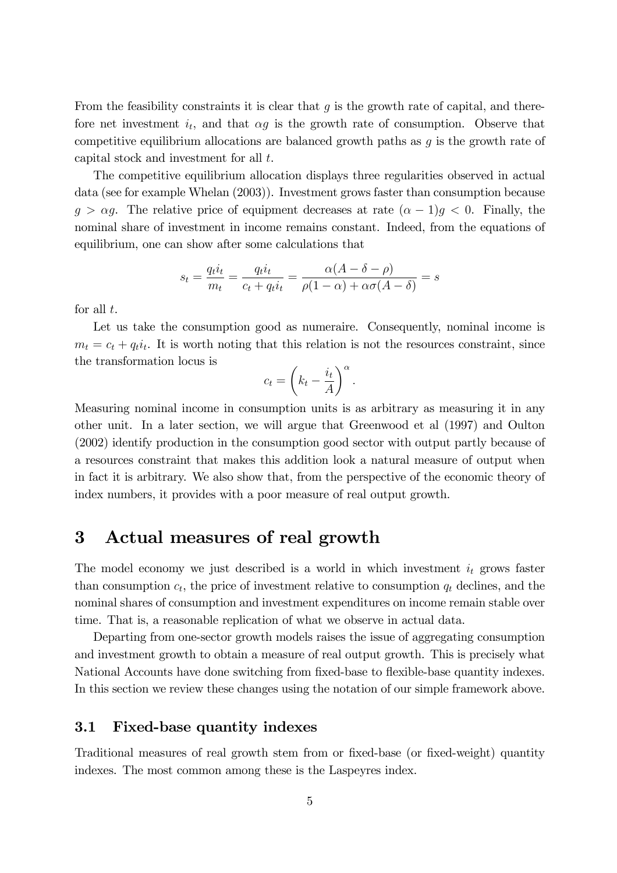From the feasibility constraints it is clear that  $g$  is the growth rate of capital, and therefore net investment  $i_t$ , and that  $\alpha g$  is the growth rate of consumption. Observe that competitive equilibrium allocations are balanced growth paths as  $g$  is the growth rate of capital stock and investment for all t.

The competitive equilibrium allocation displays three regularities observed in actual data (see for example Whelan (2003)). Investment grows faster than consumption because  $g > \alpha g$ . The relative price of equipment decreases at rate  $(\alpha - 1)g < 0$ . Finally, the nominal share of investment in income remains constant. Indeed, from the equations of equilibrium, one can show after some calculations that

$$
s_t = \frac{q_t i_t}{m_t} = \frac{q_t i_t}{c_t + q_t i_t} = \frac{\alpha (A - \delta - \rho)}{\rho (1 - \alpha) + \alpha \sigma (A - \delta)} = s
$$

for all  $t$ .

Let us take the consumption good as numeraire. Consequently, nominal income is  $m_t = c_t + q_t i_t$ . It is worth noting that this relation is not the resources constraint, since the transformation locus is

$$
c_t = \left(k_t - \frac{i_t}{A}\right)^{\alpha}.
$$

Measuring nominal income in consumption units is as arbitrary as measuring it in any other unit. In a later section, we will argue that Greenwood et al (1997) and Oulton (2002) identify production in the consumption good sector with output partly because of a resources constraint that makes this addition look a natural measure of output when in fact it is arbitrary. We also show that, from the perspective of the economic theory of index numbers, it provides with a poor measure of real output growth.

### 3 Actual measures of real growth

The model economy we just described is a world in which investment  $i_t$  grows faster than consumption  $c_t$ , the price of investment relative to consumption  $q_t$  declines, and the nominal shares of consumption and investment expenditures on income remain stable over time. That is, a reasonable replication of what we observe in actual data.

Departing from one-sector growth models raises the issue of aggregating consumption and investment growth to obtain a measure of real output growth. This is precisely what National Accounts have done switching from fixed-base to flexible-base quantity indexes. In this section we review these changes using the notation of our simple framework above.

### 3.1 Fixed-base quantity indexes

Traditional measures of real growth stem from or fixed-base (or fixed-weight) quantity indexes. The most common among these is the Laspeyres index.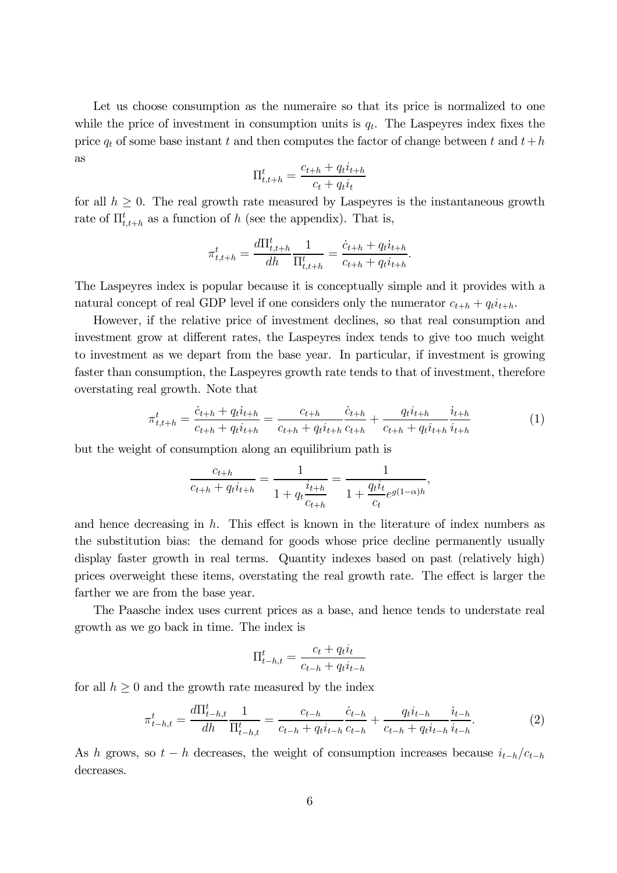Let us choose consumption as the numeraire so that its price is normalized to one while the price of investment in consumption units is  $q_t$ . The Laspeyres index fixes the price  $q_t$  of some base instant t and then computes the factor of change between t and  $t+h$ as

$$
\Pi_{t,t+h}^t = \frac{c_{t+h} + q_t i_{t+h}}{c_t + q_t i_t}
$$

for all  $h \geq 0$ . The real growth rate measured by Laspeyres is the instantaneous growth rate of  $\Pi_{t,t+h}^t$  as a function of h (see the appendix). That is,

$$
\pi_{t,t+h}^t = \frac{d\Pi_{t,t+h}^t}{dh} \frac{1}{\Pi_{t,t+h}^t} = \frac{\dot{c}_{t+h} + q_t \dot{i}_{t+h}}{c_{t+h} + q_t \dot{i}_{t+h}}.
$$

The Laspeyres index is popular because it is conceptually simple and it provides with a natural concept of real GDP level if one considers only the numerator  $c_{t+h} + q_t i_{t+h}$ .

However, if the relative price of investment declines, so that real consumption and investment grow at different rates, the Laspeyres index tends to give too much weight to investment as we depart from the base year. In particular, if investment is growing faster than consumption, the Laspeyres growth rate tends to that of investment, therefore overstating real growth. Note that

$$
\pi_{t,t+h}^t = \frac{\dot{c}_{t+h} + q_t i_{t+h}}{c_{t+h} + q_t i_{t+h}} = \frac{c_{t+h}}{c_{t+h} + q_t i_{t+h}} \frac{\dot{c}_{t+h}}{c_{t+h}} + \frac{q_t i_{t+h}}{c_{t+h} + q_t i_{t+h}} \frac{i_{t+h}}{i_{t+h}}
$$
(1)

but the weight of consumption along an equilibrium path is

$$
\frac{c_{t+h}}{c_{t+h} + q_t i_{t+h}} = \frac{1}{1 + q_t \frac{i_{t+h}}{c_{t+h}}} = \frac{1}{1 + \frac{q_t i_t}{c_t} e^{g(1-\alpha)h}},
$$

and hence decreasing in  $h$ . This effect is known in the literature of index numbers as the substitution bias: the demand for goods whose price decline permanently usually display faster growth in real terms. Quantity indexes based on past (relatively high) prices overweight these items, overstating the real growth rate. The effect is larger the farther we are from the base year.

The Paasche index uses current prices as a base, and hence tends to understate real growth as we go back in time. The index is

$$
\Pi_{t-h,t}^t = \frac{c_t + q_t i_t}{c_{t-h} + q_t i_{t-h}}
$$

for all  $h \geq 0$  and the growth rate measured by the index

$$
\pi_{t-h,t}^t = \frac{d\Pi_{t-h,t}^t}{dh} \frac{1}{\Pi_{t-h,t}^t} = \frac{c_{t-h}}{c_{t-h} + q_t i_{t-h}} \frac{\dot{c}_{t-h}}{c_{t-h}} + \frac{q_t i_{t-h}}{c_{t-h} + q_t i_{t-h}} \frac{i_{t-h}}{i_{t-h}}.
$$
(2)

As h grows, so  $t - h$  decreases, the weight of consumption increases because  $i_{t-h}/c_{t-h}$ decreases.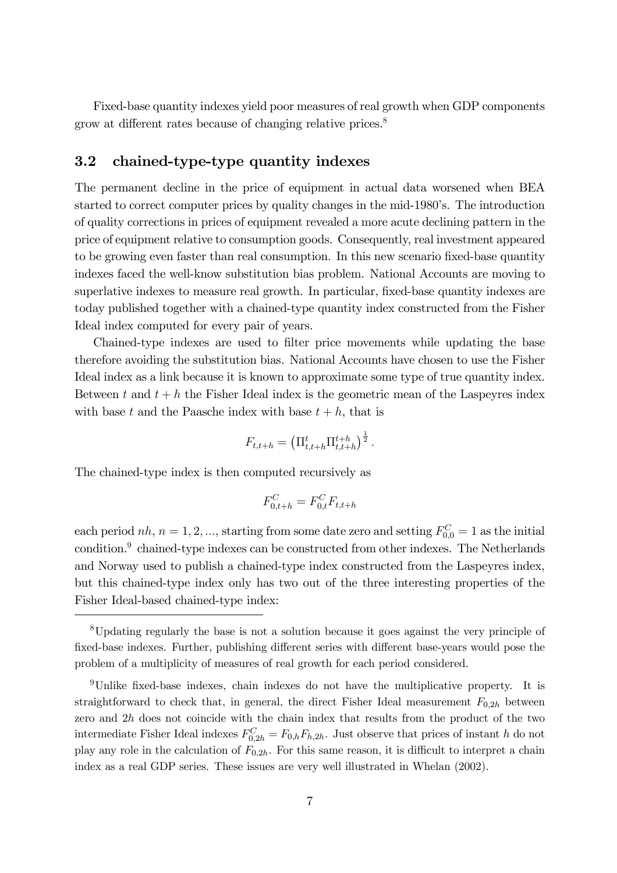Fixed-base quantity indexes yield poor measures of real growth when GDP components grow at different rates because of changing relative prices.<sup>8</sup>

### 3.2 chained-type-type quantity indexes

The permanent decline in the price of equipment in actual data worsened when BEA started to correct computer prices by quality changes in the mid-1980's. The introduction of quality corrections in prices of equipment revealed a more acute declining pattern in the price of equipment relative to consumption goods. Consequently, real investment appeared to be growing even faster than real consumption. In this new scenario fixed-base quantity indexes faced the well-know substitution bias problem. National Accounts are moving to superlative indexes to measure real growth. In particular, fixed-base quantity indexes are today published together with a chained-type quantity index constructed from the Fisher Ideal index computed for every pair of years.

Chained-type indexes are used to filter price movements while updating the base therefore avoiding the substitution bias. National Accounts have chosen to use the Fisher Ideal index as a link because it is known to approximate some type of true quantity index. Between t and  $t + h$  the Fisher Ideal index is the geometric mean of the Laspeyres index with base t and the Paasche index with base  $t + h$ , that is

$$
F_{t,t+h} = \left(\Pi_{t,t+h}^t \Pi_{t,t+h}^{t+h}\right)^{\frac{1}{2}}.
$$

The chained-type index is then computed recursively as

$$
F_{0,t+h}^C = F_{0,t}^C F_{t,t+h}
$$

each period  $nh, n = 1, 2, ...,$  starting from some date zero and setting  $F_{0,0}^C = 1$  as the initial condition.<sup>9</sup> chained-type indexes can be constructed from other indexes. The Netherlands and Norway used to publish a chained-type index constructed from the Laspeyres index, but this chained-type index only has two out of the three interesting properties of the Fisher Ideal-based chained-type index:

<sup>8</sup>Updating regularly the base is not a solution because it goes against the very principle of fixed-base indexes. Further, publishing different series with different base-years would pose the problem of a multiplicity of measures of real growth for each period considered.

<sup>9</sup>Unlike fixed-base indexes, chain indexes do not have the multiplicative property. It is straightforward to check that, in general, the direct Fisher Ideal measurement  $F_{0,2h}$  between zero and  $2h$  does not coincide with the chain index that results from the product of the two intermediate Fisher Ideal indexes  $F_{0,2h}^C = F_{0,h}F_{h,2h}$ . Just observe that prices of instant h do not play any role in the calculation of  $F_{0,2h}$ . For this same reason, it is difficult to interpret a chain index as a real GDP series. These issues are very well illustrated in Whelan (2002).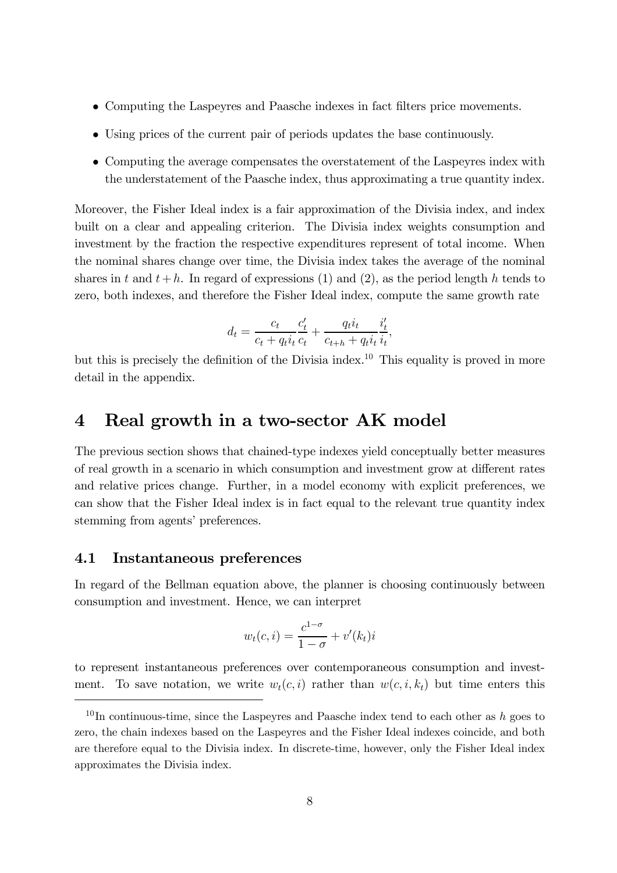- Computing the Laspeyres and Paasche indexes in fact filters price movements.
- Using prices of the current pair of periods updates the base continuously.
- Computing the average compensates the overstatement of the Laspeyres index with the understatement of the Paasche index, thus approximating a true quantity index.

Moreover, the Fisher Ideal index is a fair approximation of the Divisia index, and index built on a clear and appealing criterion. The Divisia index weights consumption and investment by the fraction the respective expenditures represent of total income. When the nominal shares change over time, the Divisia index takes the average of the nominal shares in t and  $t + h$ . In regard of expressions (1) and (2), as the period length h tends to zero, both indexes, and therefore the Fisher Ideal index, compute the same growth rate

$$
d_t = \frac{c_t}{c_t + q_t i_t} \frac{c'_t}{c_t} + \frac{q_t i_t}{c_{t+h} + q_t i_t} \frac{i'_t}{i_t},
$$

but this is precisely the definition of the Divisia index.<sup>10</sup> This equality is proved in more detail in the appendix.

### 4 Real growth in a two-sector AK model

The previous section shows that chained-type indexes yield conceptually better measures of real growth in a scenario in which consumption and investment grow at different rates and relative prices change. Further, in a model economy with explicit preferences, we can show that the Fisher Ideal index is in fact equal to the relevant true quantity index stemming from agents' preferences.

#### 4.1 Instantaneous preferences

In regard of the Bellman equation above, the planner is choosing continuously between consumption and investment. Hence, we can interpret

$$
w_t(c, i) = \frac{c^{1-\sigma}}{1-\sigma} + v'(k_t)i
$$

to represent instantaneous preferences over contemporaneous consumption and investment. To save notation, we write  $w_t(c, i)$  rather than  $w(c, i, k_t)$  but time enters this

 $10$ In continuous-time, since the Laspeyres and Paasche index tend to each other as h goes to zero, the chain indexes based on the Laspeyres and the Fisher Ideal indexes coincide, and both are therefore equal to the Divisia index. In discrete-time, however, only the Fisher Ideal index approximates the Divisia index.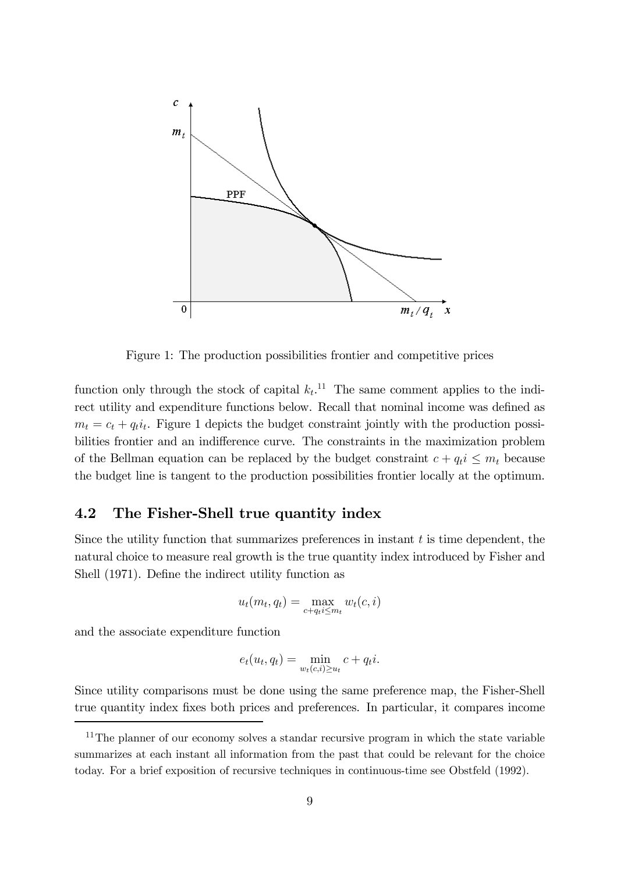

Figure 1: The production possibilities frontier and competitive prices

function only through the stock of capital  $k_t$ .<sup>11</sup> The same comment applies to the indirect utility and expenditure functions below. Recall that nominal income was defined as  $m_t = c_t + q_t i_t$ . Figure 1 depicts the budget constraint jointly with the production possibilities frontier and an indifference curve. The constraints in the maximization problem of the Bellman equation can be replaced by the budget constraint  $c + q_t i \leq m_t$  because the budget line is tangent to the production possibilities frontier locally at the optimum.

#### 4.2 The Fisher-Shell true quantity index

Since the utility function that summarizes preferences in instant  $t$  is time dependent, the natural choice to measure real growth is the true quantity index introduced by Fisher and Shell (1971). Define the indirect utility function as

$$
u_t(m_t, q_t) = \max_{c+q_t i \leq m_t} w_t(c, i)
$$

and the associate expenditure function

$$
e_t(u_t, q_t) = \min_{w_t(c,i) \ge u_t} c + q_t i.
$$

Since utility comparisons must be done using the same preference map, the Fisher-Shell true quantity index fixes both prices and preferences. In particular, it compares income

<sup>&</sup>lt;sup>11</sup>The planner of our economy solves a standar recursive program in which the state variable summarizes at each instant all information from the past that could be relevant for the choice today. For a brief exposition of recursive techniques in continuous-time see Obstfeld (1992).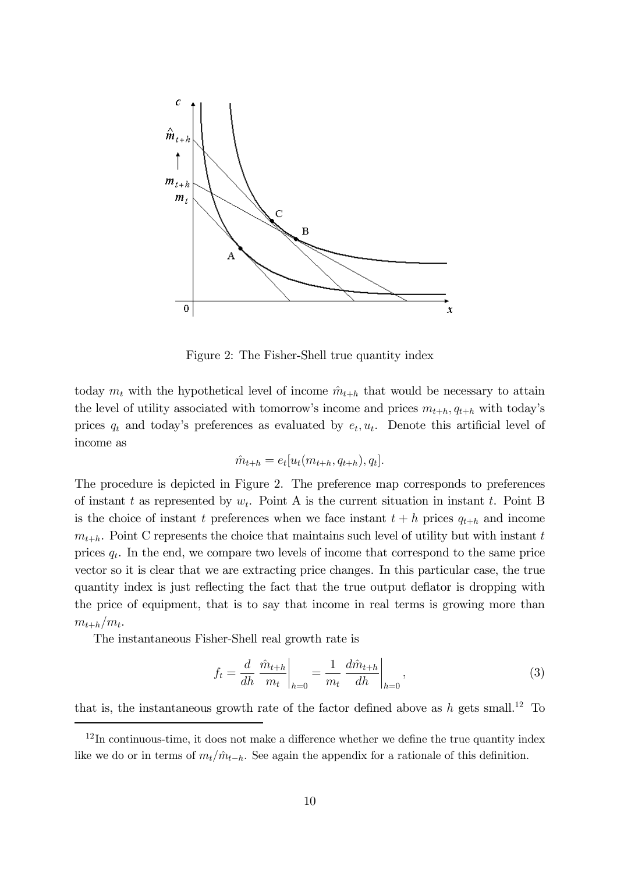

Figure 2: The Fisher-Shell true quantity index

today  $m_t$  with the hypothetical level of income  $\hat{m}_{t+h}$  that would be necessary to attain the level of utility associated with tomorrow's income and prices  $m_{t+h}$ ,  $q_{t+h}$  with today's prices  $q_t$  and today's preferences as evaluated by  $e_t, u_t$ . Denote this artificial level of income as

$$
\hat{m}_{t+h} = e_t[u_t(m_{t+h}, q_{t+h}), q_t].
$$

The procedure is depicted in Figure 2. The preference map corresponds to preferences of instant t as represented by  $w_t$ . Point A is the current situation in instant t. Point B is the choice of instant t preferences when we face instant  $t + h$  prices  $q_{t+h}$  and income  $m_{t+h}$ . Point C represents the choice that maintains such level of utility but with instant t prices  $q_t$ . In the end, we compare two levels of income that correspond to the same price vector so it is clear that we are extracting price changes. In this particular case, the true quantity index is just reflecting the fact that the true output deflator is dropping with the price of equipment, that is to say that income in real terms is growing more than  $m_{t+h}/m_t$ .

The instantaneous Fisher-Shell real growth rate is

$$
f_t = \frac{d}{dh} \left. \frac{\hat{m}_{t+h}}{m_t} \right|_{h=0} = \frac{1}{m_t} \left. \frac{d\hat{m}_{t+h}}{dh} \right|_{h=0},\tag{3}
$$

that is, the instantaneous growth rate of the factor defined above as  $h$  gets small.<sup>12</sup> To

 $12$ In continuous-time, it does not make a difference whether we define the true quantity index like we do or in terms of  $m_t/m_{t-h}$ . See again the appendix for a rationale of this definition.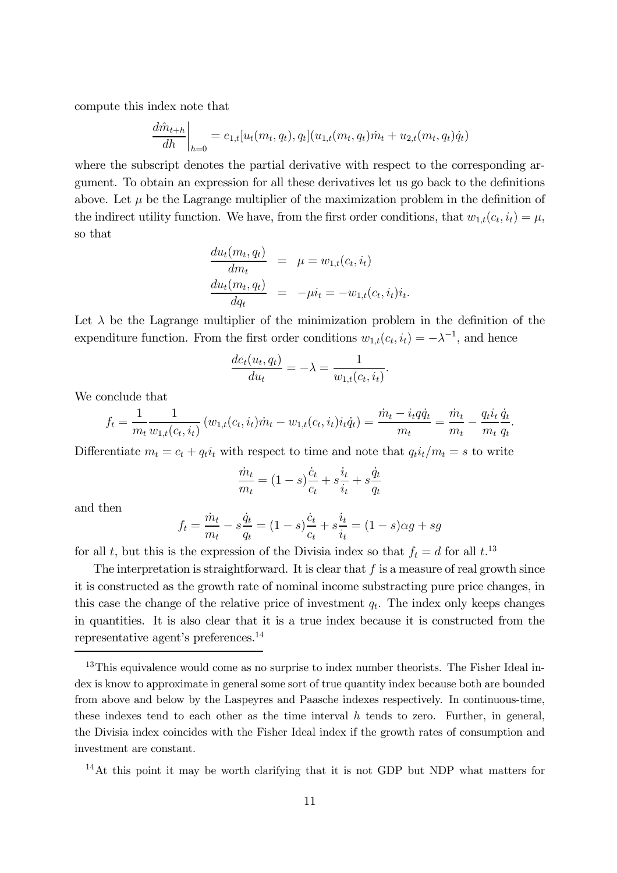compute this index note that

$$
\frac{d\hat{m}_{t+h}}{dh}\bigg|_{h=0} = e_{1,t}[u_t(m_t, q_t), q_t](u_{1,t}(m_t, q_t)\dot{m}_t + u_{2,t}(m_t, q_t)\dot{q}_t)
$$

where the subscript denotes the partial derivative with respect to the corresponding argument. To obtain an expression for all these derivatives let us go back to the definitions above. Let  $\mu$  be the Lagrange multiplier of the maximization problem in the definition of the indirect utility function. We have, from the first order conditions, that  $w_{1,t}(c_t, i_t) = \mu$ , so that

$$
\frac{du_t(m_t, q_t)}{dm_t} = \mu = w_{1,t}(c_t, i_t)
$$
\n
$$
\frac{du_t(m_t, q_t)}{dq_t} = -\mu i_t = -w_{1,t}(c_t, i_t)i_t.
$$

Let  $\lambda$  be the Lagrange multiplier of the minimization problem in the definition of the expenditure function. From the first order conditions  $w_{1,t}(c_t, i_t) = -\lambda^{-1}$ , and hence

$$
\frac{de_t(u_t, q_t)}{du_t} = -\lambda = \frac{1}{w_{1,t}(c_t, i_t)}.
$$

We conclude that

$$
f_t = \frac{1}{m_t} \frac{1}{w_{1,t}(c_t, i_t)} \left( w_{1,t}(c_t, i_t) \dot{m}_t - w_{1,t}(c_t, i_t) i_t \dot{q}_t \right) = \frac{\dot{m}_t - i_t q \dot{q}_t}{m_t} = \frac{\dot{m}_t}{m_t} - \frac{q_t i_t}{m_t} \frac{\dot{q}_t}{q_t}
$$

.

Differentiate  $m_t = c_t + q_t i_t$  with respect to time and note that  $q_t i_t/m_t = s$  to write

$$
\frac{\dot{m}_t}{m_t} = (1 - s)\frac{\dot{c}_t}{c_t} + s\frac{\dot{i}_t}{\dot{i}_t} + s\frac{\dot{q}_t}{q_t}
$$

and then

$$
f_t = \frac{\dot{m}_t}{m_t} - s\frac{\dot{q}_t}{q_t} = (1 - s)\frac{\dot{c}_t}{c_t} + s\frac{i_t}{i_t} = (1 - s)\alpha g + sg
$$

for all t, but this is the expression of the Divisia index so that  $f_t = d$  for all  $t$ .<sup>13</sup>

The interpretation is straightforward. It is clear that  $f$  is a measure of real growth since it is constructed as the growth rate of nominal income substracting pure price changes, in this case the change of the relative price of investment  $q_t$ . The index only keeps changes in quantities. It is also clear that it is a true index because it is constructed from the representative agent's preferences.14

14At this point it may be worth clarifying that it is not GDP but NDP what matters for

<sup>&</sup>lt;sup>13</sup>This equivalence would come as no surprise to index number theorists. The Fisher Ideal index is know to approximate in general some sort of true quantity index because both are bounded from above and below by the Laspeyres and Paasche indexes respectively. In continuous-time, these indexes tend to each other as the time interval  $h$  tends to zero. Further, in general, the Divisia index coincides with the Fisher Ideal index if the growth rates of consumption and investment are constant.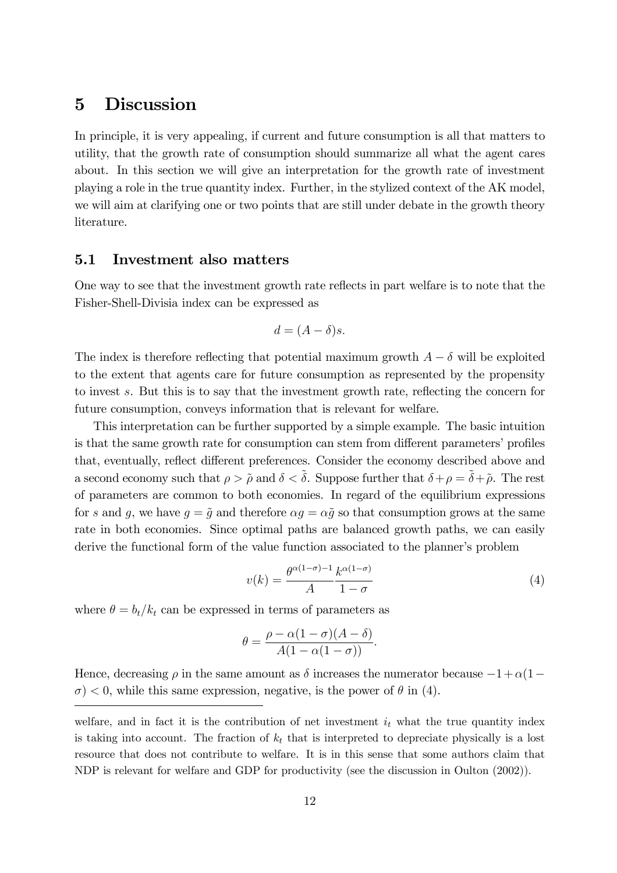### 5 Discussion

In principle, it is very appealing, if current and future consumption is all that matters to utility, that the growth rate of consumption should summarize all what the agent cares about. In this section we will give an interpretation for the growth rate of investment playing a role in the true quantity index. Further, in the stylized context of the AK model, we will aim at clarifying one or two points that are still under debate in the growth theory literature.

### 5.1 Investment also matters

One way to see that the investment growth rate reflects in part welfare is to note that the Fisher-Shell-Divisia index can be expressed as

$$
d = (A - \delta)s.
$$

The index is therefore reflecting that potential maximum growth  $A - \delta$  will be exploited to the extent that agents care for future consumption as represented by the propensity to invest s. But this is to say that the investment growth rate, reflecting the concern for future consumption, conveys information that is relevant for welfare.

This interpretation can be further supported by a simple example. The basic intuition is that the same growth rate for consumption can stem from different parameters' profiles that, eventually, reflect different preferences. Consider the economy described above and a second economy such that  $\rho > \tilde{\rho}$  and  $\delta < \tilde{\delta}$ . Suppose further that  $\delta + \rho = \tilde{\delta} + \tilde{\rho}$ . The rest of parameters are common to both economies. In regard of the equilibrium expressions for s and g, we have  $g = \tilde{g}$  and therefore  $\alpha g = \alpha \tilde{g}$  so that consumption grows at the same rate in both economies. Since optimal paths are balanced growth paths, we can easily derive the functional form of the value function associated to the planner's problem

$$
v(k) = \frac{\theta^{\alpha(1-\sigma)-1}}{A} \frac{k^{\alpha(1-\sigma)}}{1-\sigma}
$$
 (4)

where  $\theta = b_t/k_t$  can be expressed in terms of parameters as

$$
\theta = \frac{\rho - \alpha(1 - \sigma)(A - \delta)}{A(1 - \alpha(1 - \sigma))}.
$$

Hence, decreasing  $\rho$  in the same amount as  $\delta$  increases the numerator because  $-1 + \alpha(1-\alpha)$  $\sigma$  < 0, while this same expression, negative, is the power of  $\theta$  in (4).

welfare, and in fact it is the contribution of net investment  $i_t$  what the true quantity index is taking into account. The fraction of  $k_t$  that is interpreted to depreciate physically is a lost resource that does not contribute to welfare. It is in this sense that some authors claim that NDP is relevant for welfare and GDP for productivity (see the discussion in Oulton (2002)).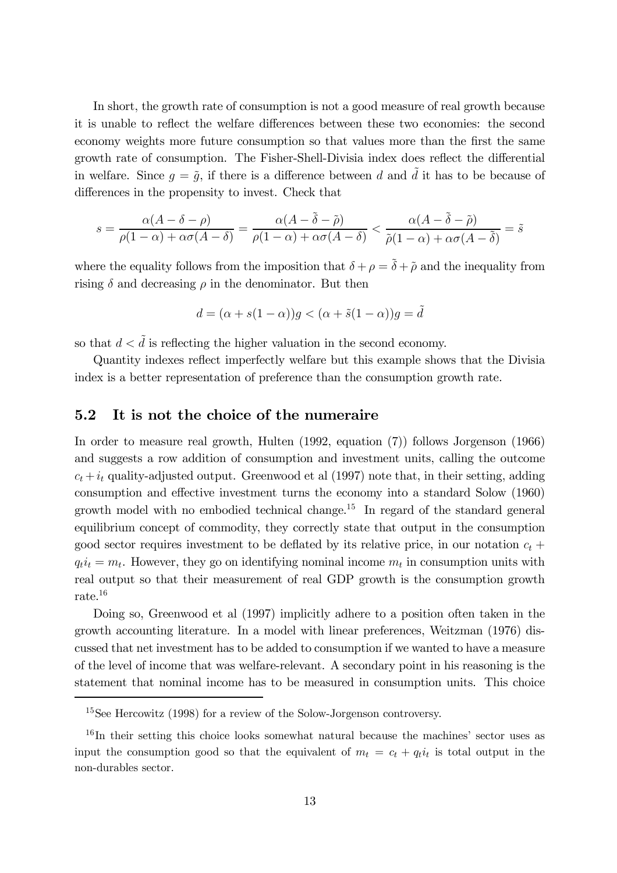In short, the growth rate of consumption is not a good measure of real growth because it is unable to reflect the welfare differences between these two economies: the second economy weights more future consumption so that values more than the first the same growth rate of consumption. The Fisher-Shell-Divisia index does reflect the differential in welfare. Since  $g = \tilde{g}$ , if there is a difference between d and  $\tilde{d}$  it has to be because of differences in the propensity to invest. Check that

$$
s = \frac{\alpha(A - \delta - \rho)}{\rho(1 - \alpha) + \alpha\sigma(A - \delta)} = \frac{\alpha(A - \tilde{\delta} - \tilde{\rho})}{\rho(1 - \alpha) + \alpha\sigma(A - \delta)} < \frac{\alpha(A - \tilde{\delta} - \tilde{\rho})}{\tilde{\rho}(1 - \alpha) + \alpha\sigma(A - \tilde{\delta})} = \tilde{s}
$$

where the equality follows from the imposition that  $\delta + \rho = \tilde{\delta} + \tilde{\rho}$  and the inequality from rising  $\delta$  and decreasing  $\rho$  in the denominator. But then

$$
d = (\alpha + s(1 - \alpha))g < (\alpha + \tilde{s}(1 - \alpha))g = \tilde{d}
$$

so that  $d < d$  is reflecting the higher valuation in the second economy.

Quantity indexes reflect imperfectly welfare but this example shows that the Divisia index is a better representation of preference than the consumption growth rate.

### 5.2 It is not the choice of the numeraire

In order to measure real growth, Hulten (1992, equation (7)) follows Jorgenson (1966) and suggests a row addition of consumption and investment units, calling the outcome  $c_t + i_t$  quality-adjusted output. Greenwood et al (1997) note that, in their setting, adding consumption and effective investment turns the economy into a standard Solow (1960) growth model with no embodied technical change.15 In regard of the standard general equilibrium concept of commodity, they correctly state that output in the consumption good sector requires investment to be deflated by its relative price, in our notation  $c_t$  +  $q_t i_t = m_t$ . However, they go on identifying nominal income  $m_t$  in consumption units with real output so that their measurement of real GDP growth is the consumption growth rate.16

Doing so, Greenwood et al (1997) implicitly adhere to a position often taken in the growth accounting literature. In a model with linear preferences, Weitzman (1976) discussed that net investment has to be added to consumption if we wanted to have a measure of the level of income that was welfare-relevant. A secondary point in his reasoning is the statement that nominal income has to be measured in consumption units. This choice

<sup>15</sup>See Hercowitz (1998) for a review of the Solow-Jorgenson controversy.

<sup>16</sup>In their setting this choice looks somewhat natural because the machines' sector uses as input the consumption good so that the equivalent of  $m_t = c_t + q_t i_t$  is total output in the non-durables sector.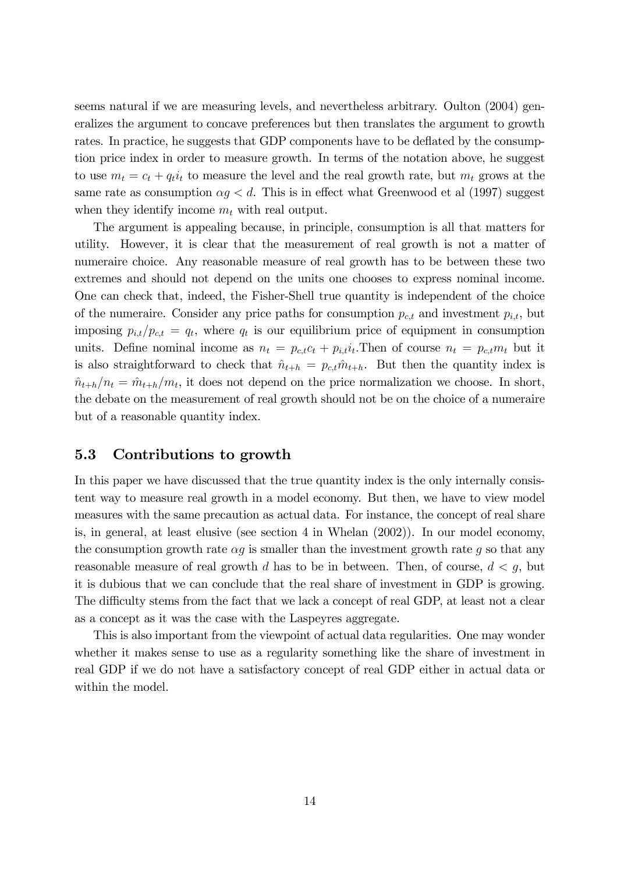seems natural if we are measuring levels, and nevertheless arbitrary. Oulton (2004) generalizes the argument to concave preferences but then translates the argument to growth rates. In practice, he suggests that GDP components have to be deflated by the consumption price index in order to measure growth. In terms of the notation above, he suggest to use  $m_t = c_t + q_t i_t$  to measure the level and the real growth rate, but  $m_t$  grows at the same rate as consumption  $\alpha g < d$ . This is in effect what Greenwood et al (1997) suggest when they identify income  $m_t$  with real output.

The argument is appealing because, in principle, consumption is all that matters for utility. However, it is clear that the measurement of real growth is not a matter of numeraire choice. Any reasonable measure of real growth has to be between these two extremes and should not depend on the units one chooses to express nominal income. One can check that, indeed, the Fisher-Shell true quantity is independent of the choice of the numeraire. Consider any price paths for consumption  $p_{c,t}$  and investment  $p_{i,t}$ , but imposing  $p_{i,t}/p_{c,t} = q_t$ , where  $q_t$  is our equilibrium price of equipment in consumption units. Define nominal income as  $n_t = p_{c,t}c_t + p_{i,t}i_t$ . Then of course  $n_t = p_{c,t}m_t$  but it is also straightforward to check that  $\hat{n}_{t+h} = p_{c,t} \hat{m}_{t+h}$ . But then the quantity index is  $\hat{n}_{t+h}/n_t = \hat{m}_{t+h}/m_t$ , it does not depend on the price normalization we choose. In short, the debate on the measurement of real growth should not be on the choice of a numeraire but of a reasonable quantity index.

#### 5.3 Contributions to growth

In this paper we have discussed that the true quantity index is the only internally consistent way to measure real growth in a model economy. But then, we have to view model measures with the same precaution as actual data. For instance, the concept of real share is, in general, at least elusive (see section 4 in Whelan (2002)). In our model economy, the consumption growth rate  $\alpha q$  is smaller than the investment growth rate q so that any reasonable measure of real growth d has to be in between. Then, of course,  $d < g$ , but it is dubious that we can conclude that the real share of investment in GDP is growing. The difficulty stems from the fact that we lack a concept of real GDP, at least not a clear as a concept as it was the case with the Laspeyres aggregate.

This is also important from the viewpoint of actual data regularities. One may wonder whether it makes sense to use as a regularity something like the share of investment in real GDP if we do not have a satisfactory concept of real GDP either in actual data or within the model.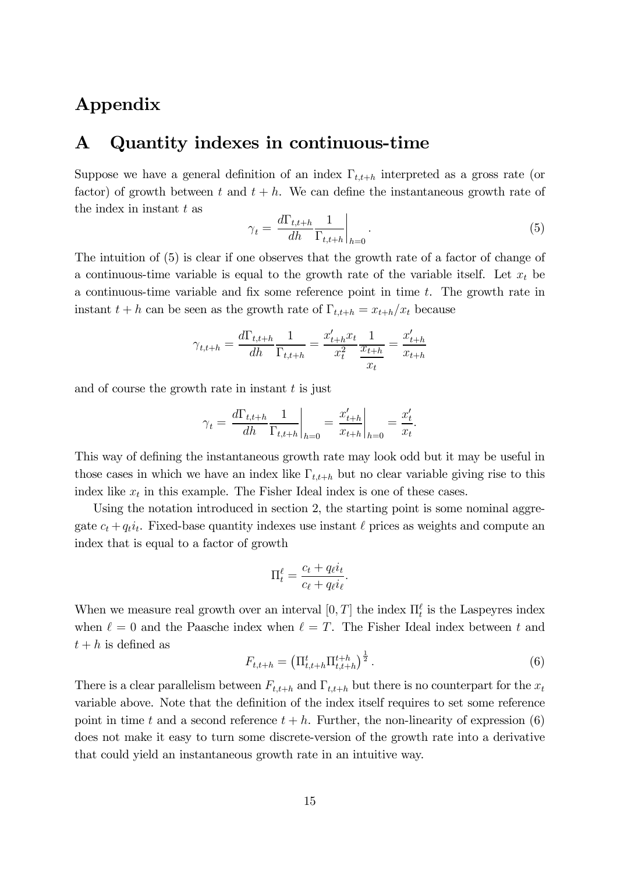# Appendix

# A Quantity indexes in continuous-time

Suppose we have a general definition of an index  $\Gamma_{t,t+h}$  interpreted as a gross rate (or factor) of growth between t and  $t + h$ . We can define the instantaneous growth rate of the index in instant  $t$  as

$$
\gamma_t = \left. \frac{d\Gamma_{t,t+h}}{dh} \frac{1}{\Gamma_{t,t+h}} \right|_{h=0} . \tag{5}
$$

The intuition of (5) is clear if one observes that the growth rate of a factor of change of a continuous-time variable is equal to the growth rate of the variable itself. Let  $x_t$  be a continuous-time variable and fix some reference point in time t. The growth rate in instant  $t + h$  can be seen as the growth rate of  $\Gamma_{t,t+h} = x_{t+h}/x_t$  because

$$
\gamma_{t,t+h} = \frac{d\Gamma_{t,t+h}}{dh} \frac{1}{\Gamma_{t,t+h}} = \frac{x'_{t+h}x_t}{x_t^2} \frac{1}{\frac{x_{t+h}}{x_t}} = \frac{x'_{t+h}}{x_{t+h}}
$$

and of course the growth rate in instant  $t$  is just

$$
\gamma_t = \left. \frac{d\Gamma_{t,t+h}}{dh} \frac{1}{\Gamma_{t,t+h}} \right|_{h=0} = \left. \frac{x'_{t+h}}{x_{t+h}} \right|_{h=0} = \frac{x'_t}{x_t}.
$$

This way of defining the instantaneous growth rate may look odd but it may be useful in those cases in which we have an index like  $\Gamma_{t,t+h}$  but no clear variable giving rise to this index like  $x_t$  in this example. The Fisher Ideal index is one of these cases.

Using the notation introduced in section 2, the starting point is some nominal aggregate  $c_t + q_t i_t$ . Fixed-base quantity indexes use instant  $\ell$  prices as weights and compute an index that is equal to a factor of growth

$$
\Pi_t^{\ell} = \frac{c_t + q_{\ell}i_t}{c_{\ell} + q_{\ell}i_{\ell}}.
$$

When we measure real growth over an interval  $[0, T]$  the index  $\Pi_t^{\ell}$  is the Laspeyres index when  $\ell = 0$  and the Paasche index when  $\ell = T$ . The Fisher Ideal index between t and  $t + h$  is defined as

$$
F_{t,t+h} = \left(\Pi_{t,t+h}^t \Pi_{t,t+h}^{t+h}\right)^{\frac{1}{2}}.
$$
\n(6)

There is a clear parallelism between  $F_{t,t+h}$  and  $\Gamma_{t,t+h}$  but there is no counterpart for the  $x_t$ variable above. Note that the definition of the index itself requires to set some reference point in time t and a second reference  $t + h$ . Further, the non-linearity of expression (6) does not make it easy to turn some discrete-version of the growth rate into a derivative that could yield an instantaneous growth rate in an intuitive way.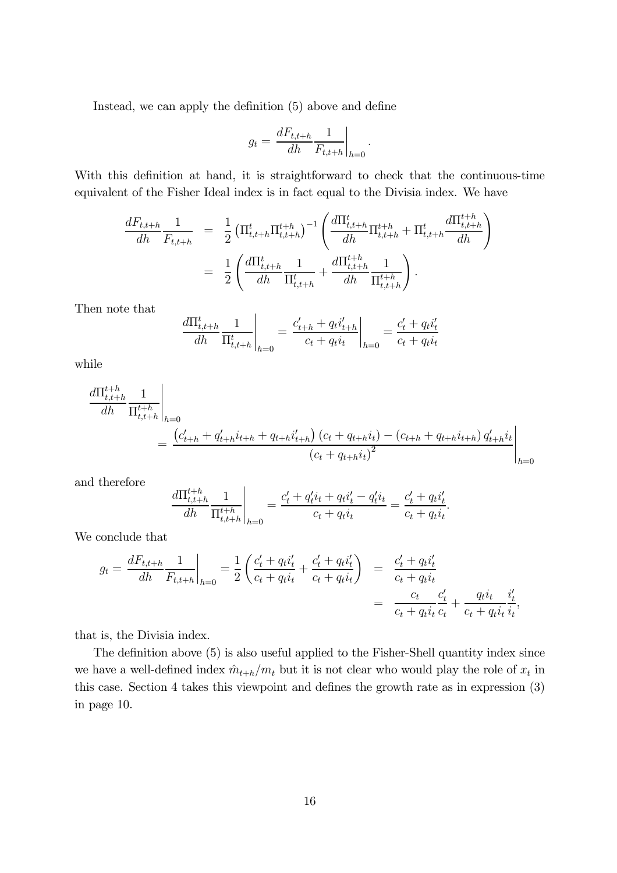Instead, we can apply the definition (5) above and define

$$
g_t = \frac{dF_{t,t+h}}{dh} \frac{1}{F_{t,t+h}} \bigg|_{h=0}.
$$

With this definition at hand, it is straightforward to check that the continuous-time equivalent of the Fisher Ideal index is in fact equal to the Divisia index. We have

$$
\frac{dF_{t,t+h}}{dh} \frac{1}{F_{t,t+h}} = \frac{1}{2} \left( \Pi_{t,t+h}^t \Pi_{t,t+h}^{t+h} \right)^{-1} \left( \frac{d\Pi_{t,t+h}^t}{dh} \Pi_{t,t+h}^{t+h} + \Pi_{t,t+h}^t \frac{d\Pi_{t,t+h}^{t+h}}{dh} \right)
$$
\n
$$
= \frac{1}{2} \left( \frac{d\Pi_{t,t+h}^t}{dh} \frac{1}{\Pi_{t,t+h}^t} + \frac{d\Pi_{t,t+h}^{t+h}}{dh} \frac{1}{\Pi_{t,t+h}^{t+h}} \right).
$$

Then note that

$$
\left. \frac{d\Pi_{t,t+h}^{t}}{dh} \frac{1}{\Pi_{t,t+h}^{t}} \right|_{h=0} = \left. \frac{c'_{t+h} + q_t i'_{t+h}}{c_t + q_t i_t} \right|_{h=0} = \frac{c'_t + q_t i'_t}{c_t + q_t i_t}
$$

while

$$
\frac{d\Pi_{t,t+h}^{t+h}}{dh} \frac{1}{\Pi_{t,t+h}^{t+h}}\Big|_{h=0}
$$
\n
$$
= \frac{(c'_{t+h} + q'_{t+h}i_{t+h} + q_{t+h}i'_{t+h}) (c_t + q_{t+h}i_t) - (c_{t+h} + q_{t+h}i_{t+h}) q'_{t+h}i_t}{(c_t + q_{t+h}i_t)^2}\Big|_{h=0}
$$

and therefore

$$
\left.\frac{d\Pi^{t+h}_{t,t+h}}{dh} \frac{1}{\Pi^{t+h}_{t,t+h}}\right|_{h=0} = \frac{c'_t + q'_t i_t + q_t i'_t - q'_t i_t}{c_t + q_t i_t} = \frac{c'_t + q_t i'_t}{c_t + q_t i_t}.
$$

We conclude that

$$
g_t = \frac{dF_{t,t+h}}{dh} \frac{1}{F_{t,t+h}} \bigg|_{h=0} = \frac{1}{2} \left( \frac{c'_t + q_t i'_t}{c_t + q_t i_t} + \frac{c'_t + q_t i'_t}{c_t + q_t i_t} \right) = \frac{c'_t + q_t i'_t}{c_t + q_t i_t}
$$

$$
= \frac{c_t}{c_t + q_t i_t} \frac{c'_t}{c_t} + \frac{q_t i_t}{c_t + q_t i_t} \frac{i'_t}{i_t},
$$

that is, the Divisia index.

The definition above (5) is also useful applied to the Fisher-Shell quantity index since we have a well-defined index  $\hat{m}_{t+h}/m_t$  but it is not clear who would play the role of  $x_t$  in this case. Section 4 takes this viewpoint and defines the growth rate as in expression (3) in page 10.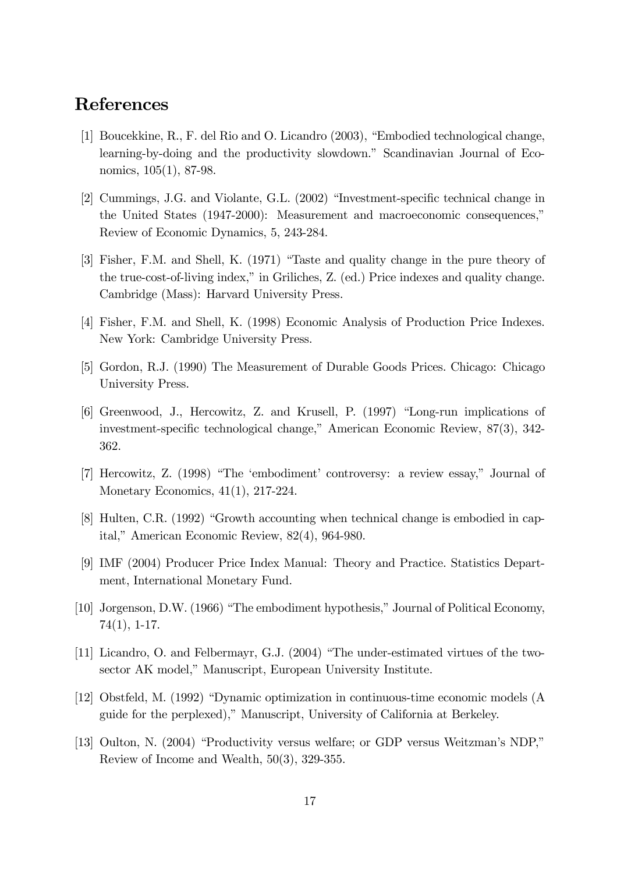# References

- [1] Boucekkine, R., F. del Rio and O. Licandro (2003), "Embodied technological change, learning-by-doing and the productivity slowdown." Scandinavian Journal of Economics, 105(1), 87-98.
- [2] Cummings, J.G. and Violante, G.L. (2002) "Investment-specific technical change in the United States (1947-2000): Measurement and macroeconomic consequences," Review of Economic Dynamics, 5, 243-284.
- [3] Fisher, F.M. and Shell, K. (1971) "Taste and quality change in the pure theory of the true-cost-of-living index," in Griliches, Z. (ed.) Price indexes and quality change. Cambridge (Mass): Harvard University Press.
- [4] Fisher, F.M. and Shell, K. (1998) Economic Analysis of Production Price Indexes. New York: Cambridge University Press.
- [5] Gordon, R.J. (1990) The Measurement of Durable Goods Prices. Chicago: Chicago University Press.
- [6] Greenwood, J., Hercowitz, Z. and Krusell, P. (1997) "Long-run implications of investment-specific technological change," American Economic Review, 87(3), 342- 362.
- [7] Hercowitz, Z. (1998) "The 'embodiment' controversy: a review essay," Journal of Monetary Economics, 41(1), 217-224.
- [8] Hulten, C.R. (1992) "Growth accounting when technical change is embodied in capital," American Economic Review, 82(4), 964-980.
- [9] IMF (2004) Producer Price Index Manual: Theory and Practice. Statistics Department, International Monetary Fund.
- [10] Jorgenson, D.W. (1966) "The embodiment hypothesis," Journal of Political Economy, 74(1), 1-17.
- [11] Licandro, O. and Felbermayr, G.J. (2004) "The under-estimated virtues of the twosector AK model," Manuscript, European University Institute.
- [12] Obstfeld, M. (1992) "Dynamic optimization in continuous-time economic models (A guide for the perplexed)," Manuscript, University of California at Berkeley.
- [13] Oulton, N. (2004) "Productivity versus welfare; or GDP versus Weitzman's NDP," Review of Income and Wealth, 50(3), 329-355.